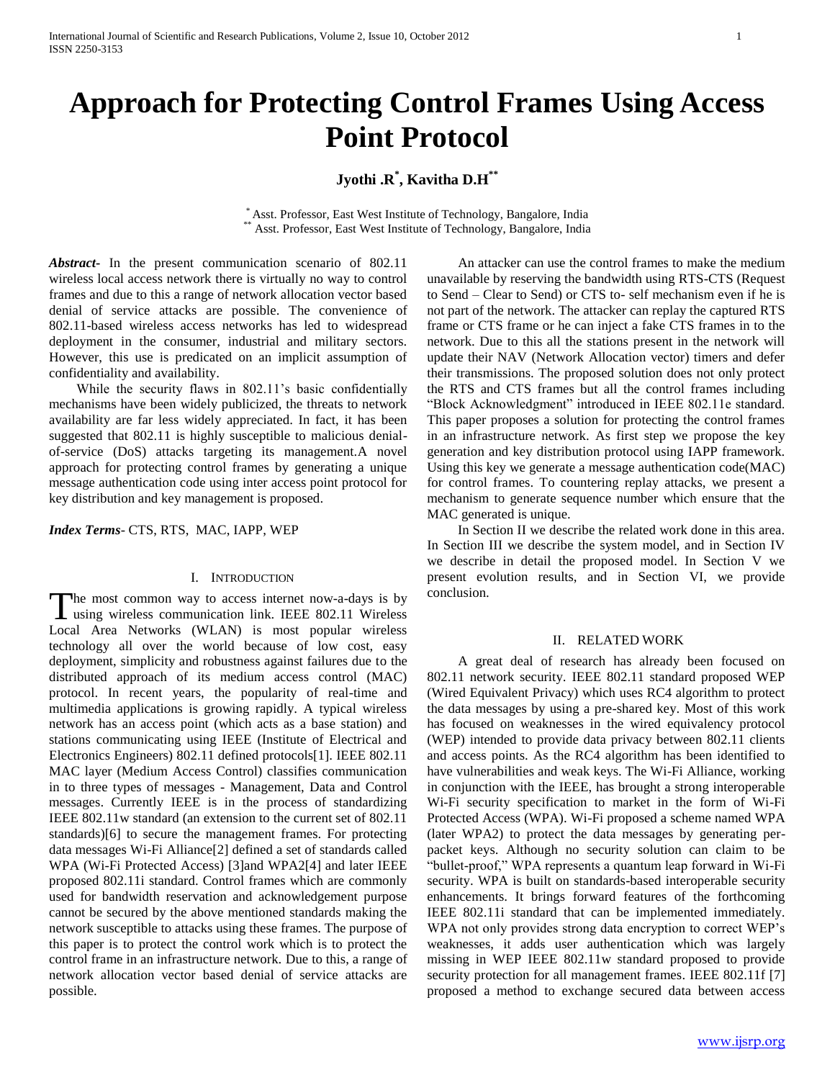# **Approach for Protecting Control Frames Using Access Point Protocol**

# **Jyothi .R\* , Kavitha D.H\*\***

\* Asst. Professor, East West Institute of Technology, Bangalore, India Asst. Professor, East West Institute of Technology, Bangalore, India

*Abstract***-** In the present communication scenario of 802.11 wireless local access network there is virtually no way to control frames and due to this a range of network allocation vector based denial of service attacks are possible. The convenience of 802.11-based wireless access networks has led to widespread deployment in the consumer, industrial and military sectors. However, this use is predicated on an implicit assumption of confidentiality and availability.

While the security flaws in 802.11's basic confidentially mechanisms have been widely publicized, the threats to network availability are far less widely appreciated. In fact, it has been suggested that 802.11 is highly susceptible to malicious denialof-service (DoS) attacks targeting its management.A novel approach for protecting control frames by generating a unique message authentication code using inter access point protocol for key distribution and key management is proposed.

*Index Terms*- CTS, RTS, MAC, IAPP, WEP

# I. INTRODUCTION

The most common way to access internet now-a-days is by The most common way to access internet now-a-days is by using wireless communication link. IEEE 802.11 Wireless Local Area Networks (WLAN) is most popular wireless technology all over the world because of low cost, easy deployment, simplicity and robustness against failures due to the distributed approach of its medium access control (MAC) protocol. In recent years, the popularity of real-time and multimedia applications is growing rapidly. A typical wireless network has an access point (which acts as a base station) and stations communicating using IEEE (Institute of Electrical and Electronics Engineers) 802.11 defined protocols[1]. IEEE 802.11 MAC layer (Medium Access Control) classifies communication in to three types of messages - Management, Data and Control messages. Currently IEEE is in the process of standardizing IEEE 802.11w standard (an extension to the current set of 802.11 standards)[6] to secure the management frames. For protecting data messages Wi-Fi Alliance[2] defined a set of standards called WPA (Wi-Fi Protected Access) [3]and WPA2[4] and later IEEE proposed 802.11i standard. Control frames which are commonly used for bandwidth reservation and acknowledgement purpose cannot be secured by the above mentioned standards making the network susceptible to attacks using these frames. The purpose of this paper is to protect the control work which is to protect the control frame in an infrastructure network. Due to this, a range of network allocation vector based denial of service attacks are possible.

 An attacker can use the control frames to make the medium unavailable by reserving the bandwidth using RTS-CTS (Request to Send – Clear to Send) or CTS to- self mechanism even if he is not part of the network. The attacker can replay the captured RTS frame or CTS frame or he can inject a fake CTS frames in to the network. Due to this all the stations present in the network will update their NAV (Network Allocation vector) timers and defer their transmissions. The proposed solution does not only protect the RTS and CTS frames but all the control frames including "Block Acknowledgment" introduced in IEEE 802.11e standard. This paper proposes a solution for protecting the control frames in an infrastructure network. As first step we propose the key generation and key distribution protocol using IAPP framework. Using this key we generate a message authentication code(MAC) for control frames. To countering replay attacks, we present a mechanism to generate sequence number which ensure that the MAC generated is unique.

 In Section II we describe the related work done in this area. In Section III we describe the system model, and in Section IV we describe in detail the proposed model. In Section V we present evolution results, and in Section VI, we provide conclusion.

#### II. RELATED WORK

 A great deal of research has already been focused on 802.11 network security. IEEE 802.11 standard proposed WEP (Wired Equivalent Privacy) which uses RC4 algorithm to protect the data messages by using a pre-shared key. Most of this work has focused on weaknesses in the wired equivalency protocol (WEP) intended to provide data privacy between 802.11 clients and access points. As the RC4 algorithm has been identified to have vulnerabilities and weak keys. The Wi-Fi Alliance, working in conjunction with the IEEE, has brought a strong interoperable Wi-Fi security specification to market in the form of Wi-Fi Protected Access (WPA). Wi-Fi proposed a scheme named WPA (later WPA2) to protect the data messages by generating perpacket keys. Although no security solution can claim to be "bullet-proof," WPA represents a quantum leap forward in Wi-Fi security. WPA is built on standards-based interoperable security enhancements. It brings forward features of the forthcoming IEEE 802.11i standard that can be implemented immediately. WPA not only provides strong data encryption to correct WEP"s weaknesses, it adds user authentication which was largely missing in WEP IEEE 802.11w standard proposed to provide security protection for all management frames. IEEE 802.11f [7] proposed a method to exchange secured data between access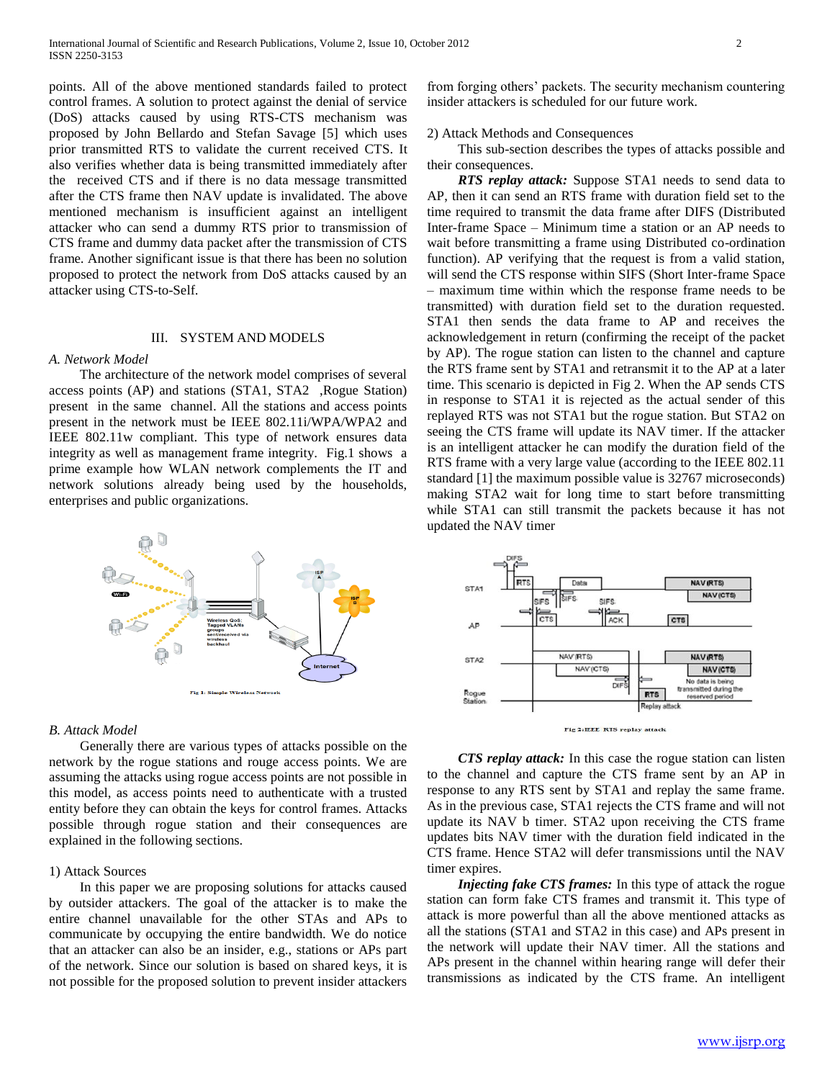points. All of the above mentioned standards failed to protect control frames. A solution to protect against the denial of service (DoS) attacks caused by using RTS-CTS mechanism was proposed by John Bellardo and Stefan Savage [5] which uses prior transmitted RTS to validate the current received CTS. It also verifies whether data is being transmitted immediately after the received CTS and if there is no data message transmitted after the CTS frame then NAV update is invalidated. The above mentioned mechanism is insufficient against an intelligent attacker who can send a dummy RTS prior to transmission of CTS frame and dummy data packet after the transmission of CTS frame. Another significant issue is that there has been no solution proposed to protect the network from DoS attacks caused by an attacker using CTS-to-Self.

# III. SYSTEM AND MODELS

# *A. Network Model*

 The architecture of the network model comprises of several access points (AP) and stations (STA1, STA2 ,Rogue Station) present in the same channel. All the stations and access points present in the network must be IEEE 802.11i/WPA/WPA2 and IEEE 802.11w compliant. This type of network ensures data integrity as well as management frame integrity. Fig.1 shows a prime example how WLAN network complements the IT and network solutions already being used by the households, enterprises and public organizations.



#### *B. Attack Model*

 Generally there are various types of attacks possible on the network by the rogue stations and rouge access points. We are assuming the attacks using rogue access points are not possible in this model, as access points need to authenticate with a trusted entity before they can obtain the keys for control frames. Attacks possible through rogue station and their consequences are explained in the following sections.

# 1) Attack Sources

 In this paper we are proposing solutions for attacks caused by outsider attackers. The goal of the attacker is to make the entire channel unavailable for the other STAs and APs to communicate by occupying the entire bandwidth. We do notice that an attacker can also be an insider, e.g., stations or APs part of the network. Since our solution is based on shared keys, it is not possible for the proposed solution to prevent insider attackers

from forging others" packets. The security mechanism countering insider attackers is scheduled for our future work.

# 2) Attack Methods and Consequences

 This sub-section describes the types of attacks possible and their consequences.

 *RTS replay attack:* Suppose STA1 needs to send data to AP, then it can send an RTS frame with duration field set to the time required to transmit the data frame after DIFS (Distributed Inter-frame Space – Minimum time a station or an AP needs to wait before transmitting a frame using Distributed co-ordination function). AP verifying that the request is from a valid station, will send the CTS response within SIFS (Short Inter-frame Space – maximum time within which the response frame needs to be transmitted) with duration field set to the duration requested. STA1 then sends the data frame to AP and receives the acknowledgement in return (confirming the receipt of the packet by AP). The rogue station can listen to the channel and capture the RTS frame sent by STA1 and retransmit it to the AP at a later time. This scenario is depicted in Fig 2. When the AP sends CTS in response to STA1 it is rejected as the actual sender of this replayed RTS was not STA1 but the rogue station. But STA2 on seeing the CTS frame will update its NAV timer. If the attacker is an intelligent attacker he can modify the duration field of the RTS frame with a very large value (according to the IEEE 802.11 standard [1] the maximum possible value is 32767 microseconds) making STA2 wait for long time to start before transmitting while STA1 can still transmit the packets because it has not updated the NAV timer



 *CTS replay attack:* In this case the rogue station can listen to the channel and capture the CTS frame sent by an AP in response to any RTS sent by STA1 and replay the same frame. As in the previous case, STA1 rejects the CTS frame and will not update its NAV b timer. STA2 upon receiving the CTS frame updates bits NAV timer with the duration field indicated in the CTS frame. Hence STA2 will defer transmissions until the NAV timer expires.

 *Injecting fake CTS frames:* In this type of attack the rogue station can form fake CTS frames and transmit it. This type of attack is more powerful than all the above mentioned attacks as all the stations (STA1 and STA2 in this case) and APs present in the network will update their NAV timer. All the stations and APs present in the channel within hearing range will defer their transmissions as indicated by the CTS frame. An intelligent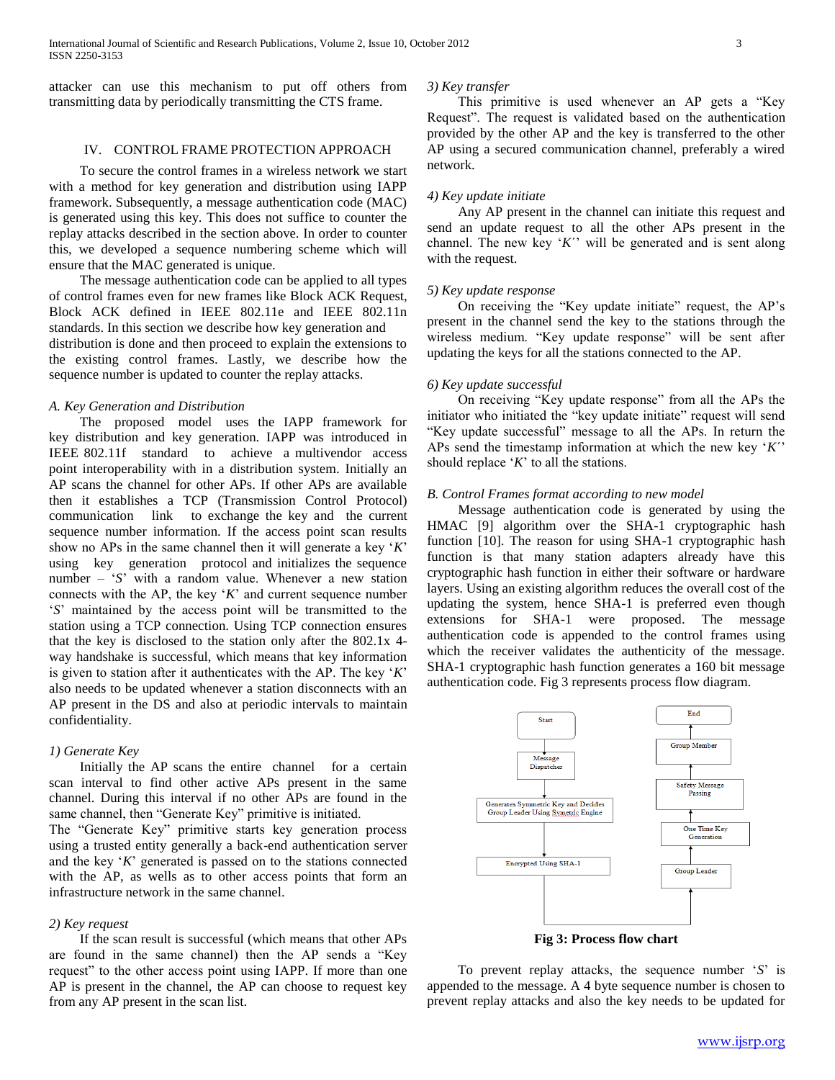attacker can use this mechanism to put off others from transmitting data by periodically transmitting the CTS frame.

# IV. CONTROL FRAME PROTECTION APPROACH

 To secure the control frames in a wireless network we start with a method for key generation and distribution using IAPP framework. Subsequently, a message authentication code (MAC) is generated using this key. This does not suffice to counter the replay attacks described in the section above. In order to counter this, we developed a sequence numbering scheme which will ensure that the MAC generated is unique.

 The message authentication code can be applied to all types of control frames even for new frames like Block ACK Request, Block ACK defined in IEEE 802.11e and IEEE 802.11n standards. In this section we describe how key generation and distribution is done and then proceed to explain the extensions to the existing control frames. Lastly, we describe how the sequence number is updated to counter the replay attacks.

## *A. Key Generation and Distribution*

 The proposed model uses the IAPP framework for key distribution and key generation. IAPP was introduced in IEEE 802.11f standard to achieve a multivendor access point interoperability with in a distribution system. Initially an AP scans the channel for other APs. If other APs are available then it establishes a TCP (Transmission Control Protocol) communication link to exchange the key and the current sequence number information. If the access point scan results show no APs in the same channel then it will generate a key "*K*" using key generation protocol and initializes the sequence number – 'S' with a random value. Whenever a new station connects with the AP, the key "*K*" and current sequence number "*S*" maintained by the access point will be transmitted to the station using a TCP connection. Using TCP connection ensures that the key is disclosed to the station only after the 802.1x 4 way handshake is successful, which means that key information is given to station after it authenticates with the AP. The key "*K*" also needs to be updated whenever a station disconnects with an AP present in the DS and also at periodic intervals to maintain confidentiality.

#### *1) Generate Key*

 Initially the AP scans the entire channel for a certain scan interval to find other active APs present in the same channel. During this interval if no other APs are found in the same channel, then "Generate Key" primitive is initiated.

The "Generate Key" primitive starts key generation process using a trusted entity generally a back-end authentication server and the key "*K*" generated is passed on to the stations connected with the AP, as wells as to other access points that form an infrastructure network in the same channel.

#### *2) Key request*

 If the scan result is successful (which means that other APs are found in the same channel) then the AP sends a "Key request" to the other access point using IAPP. If more than one AP is present in the channel, the AP can choose to request key from any AP present in the scan list.

### *3) Key transfer*

 This primitive is used whenever an AP gets a "Key Request". The request is validated based on the authentication provided by the other AP and the key is transferred to the other AP using a secured communication channel, preferably a wired network.

# *4) Key update initiate*

 Any AP present in the channel can initiate this request and send an update request to all the other APs present in the channel. The new key 'K'' will be generated and is sent along with the request.

# *5) Key update response*

 On receiving the "Key update initiate" request, the AP"s present in the channel send the key to the stations through the wireless medium. "Key update response" will be sent after updating the keys for all the stations connected to the AP.

#### *6) Key update successful*

 On receiving "Key update response" from all the APs the initiator who initiated the "key update initiate" request will send "Key update successful" message to all the APs. In return the APs send the timestamp information at which the new key "*K*´" should replace "*K*" to all the stations.

# *B. Control Frames format according to new model*

 Message authentication code is generated by using the HMAC [9] algorithm over the SHA-1 cryptographic hash function [10]. The reason for using SHA-1 cryptographic hash function is that many station adapters already have this cryptographic hash function in either their software or hardware layers. Using an existing algorithm reduces the overall cost of the updating the system, hence SHA-1 is preferred even though extensions for SHA-1 were proposed. The message authentication code is appended to the control frames using which the receiver validates the authenticity of the message. SHA-1 cryptographic hash function generates a 160 bit message authentication code. Fig 3 represents process flow diagram.



**Fig 3: Process flow chart**

 To prevent replay attacks, the sequence number "*S*" is appended to the message. A 4 byte sequence number is chosen to prevent replay attacks and also the key needs to be updated for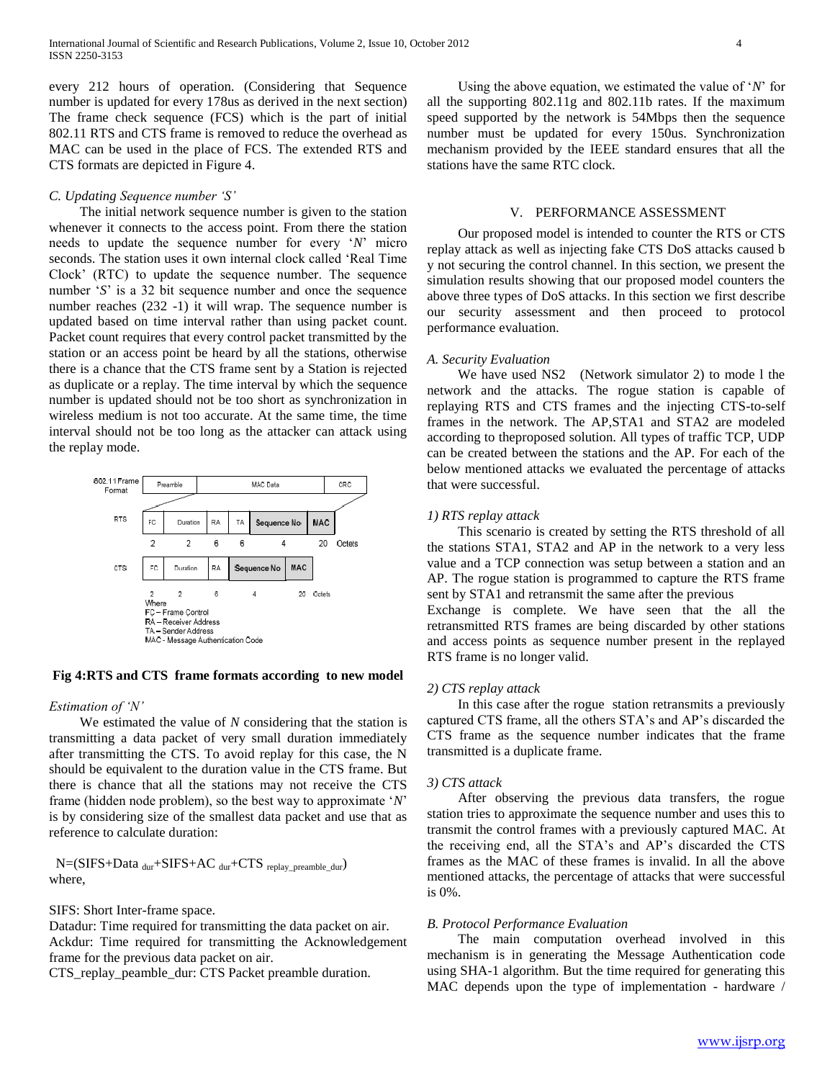every 212 hours of operation. (Considering that Sequence number is updated for every 178us as derived in the next section) The frame check sequence (FCS) which is the part of initial 802.11 RTS and CTS frame is removed to reduce the overhead as MAC can be used in the place of FCS. The extended RTS and CTS formats are depicted in Figure 4.

# *C. Updating Sequence number 'S'*

 The initial network sequence number is given to the station whenever it connects to the access point. From there the station needs to update the sequence number for every "*N*" micro seconds. The station uses it own internal clock called "Real Time Clock" (RTC) to update the sequence number. The sequence number 'S' is a 32 bit sequence number and once the sequence number reaches (232 -1) it will wrap. The sequence number is updated based on time interval rather than using packet count. Packet count requires that every control packet transmitted by the station or an access point be heard by all the stations, otherwise there is a chance that the CTS frame sent by a Station is rejected as duplicate or a replay. The time interval by which the sequence number is updated should not be too short as synchronization in wireless medium is not too accurate. At the same time, the time interval should not be too long as the attacker can attack using the replay mode.



# **Fig 4:RTS and CTS frame formats according to new model**

# *Estimation of 'N'*

 We estimated the value of *N* considering that the station is transmitting a data packet of very small duration immediately after transmitting the CTS. To avoid replay for this case, the N should be equivalent to the duration value in the CTS frame. But there is chance that all the stations may not receive the CTS frame (hidden node problem), so the best way to approximate "*N*" is by considering size of the smallest data packet and use that as reference to calculate duration:

 $N=(SIFS+Data_{dur}+SIFS+AC_{dur}+CTS_{replay\ preamble\ dur})$ where,

# SIFS: Short Inter-frame space.

Datadur: Time required for transmitting the data packet on air. Ackdur: Time required for transmitting the Acknowledgement frame for the previous data packet on air.

CTS\_replay\_peamble\_dur: CTS Packet preamble duration.

 Using the above equation, we estimated the value of "*N*" for all the supporting 802.11g and 802.11b rates. If the maximum speed supported by the network is 54Mbps then the sequence number must be updated for every 150us. Synchronization mechanism provided by the IEEE standard ensures that all the stations have the same RTC clock.

#### V. PERFORMANCE ASSESSMENT

 Our proposed model is intended to counter the RTS or CTS replay attack as well as injecting fake CTS DoS attacks caused b y not securing the control channel. In this section, we present the simulation results showing that our proposed model counters the above three types of DoS attacks. In this section we first describe our security assessment and then proceed to protocol performance evaluation.

#### *A. Security Evaluation*

 We have used NS2 (Network simulator 2) to mode l the network and the attacks. The rogue station is capable of replaying RTS and CTS frames and the injecting CTS-to-self frames in the network. The AP,STA1 and STA2 are modeled according to theproposed solution. All types of traffic TCP, UDP can be created between the stations and the AP. For each of the below mentioned attacks we evaluated the percentage of attacks that were successful.

#### *1) RTS replay attack*

 This scenario is created by setting the RTS threshold of all the stations STA1, STA2 and AP in the network to a very less value and a TCP connection was setup between a station and an AP. The rogue station is programmed to capture the RTS frame sent by STA1 and retransmit the same after the previous Exchange is complete. We have seen that the all the retransmitted RTS frames are being discarded by other stations and access points as sequence number present in the replayed

# *2) CTS replay attack*

RTS frame is no longer valid.

 In this case after the rogue station retransmits a previously captured CTS frame, all the others STA"s and AP"s discarded the CTS frame as the sequence number indicates that the frame transmitted is a duplicate frame.

#### *3) CTS attack*

 After observing the previous data transfers, the rogue station tries to approximate the sequence number and uses this to transmit the control frames with a previously captured MAC. At the receiving end, all the STA"s and AP"s discarded the CTS frames as the MAC of these frames is invalid. In all the above mentioned attacks, the percentage of attacks that were successful is 0%.

#### *B. Protocol Performance Evaluation*

 The main computation overhead involved in this mechanism is in generating the Message Authentication code using SHA-1 algorithm. But the time required for generating this MAC depends upon the type of implementation - hardware /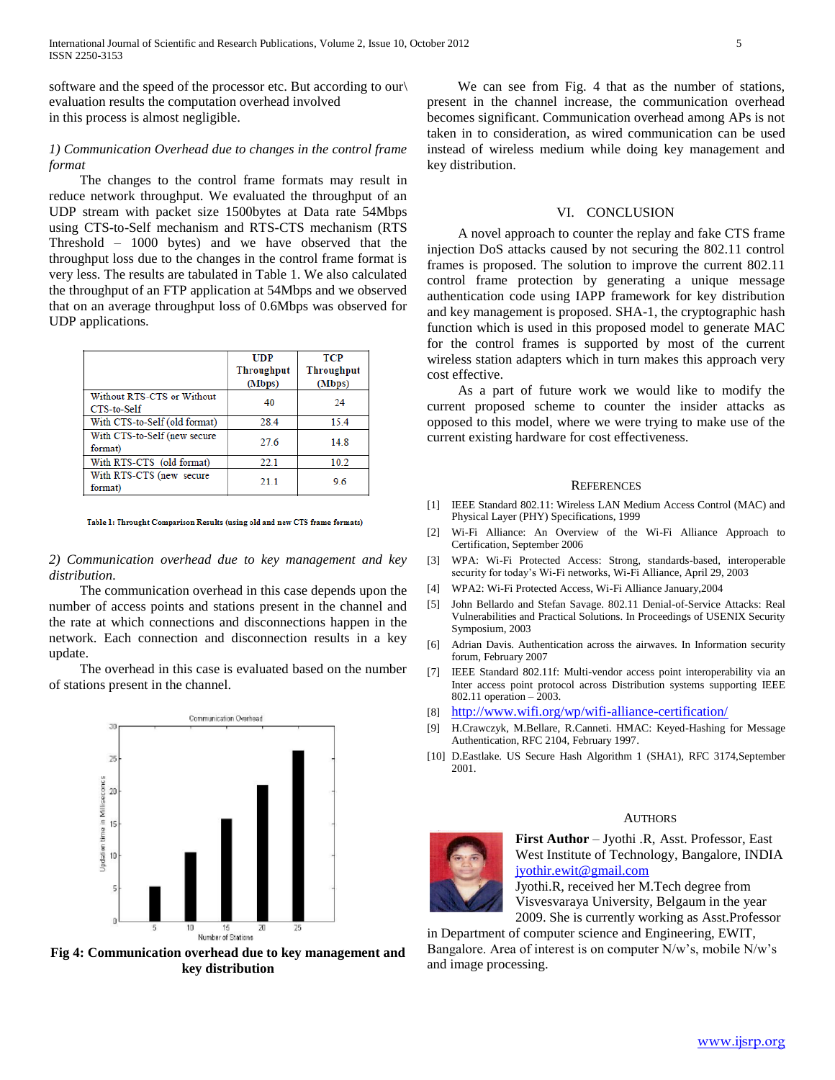software and the speed of the processor etc. But according to our\ evaluation results the computation overhead involved in this process is almost negligible.

# *1) Communication Overhead due to changes in the control frame format*

 The changes to the control frame formats may result in reduce network throughput. We evaluated the throughput of an UDP stream with packet size 1500bytes at Data rate 54Mbps using CTS-to-Self mechanism and RTS-CTS mechanism (RTS Threshold – 1000 bytes) and we have observed that the throughput loss due to the changes in the control frame format is very less. The results are tabulated in Table 1. We also calculated the throughput of an FTP application at 54Mbps and we observed that on an average throughput loss of 0.6Mbps was observed for UDP applications.

|                                           | <b>UDP</b> | <b>TCP</b> |
|-------------------------------------------|------------|------------|
|                                           | Throughput | Throughput |
|                                           | (Mbps)     | (Mbps)     |
| Without RTS-CTS or Without<br>CTS-to-Self | 40         | 24         |
| With CTS-to-Self (old format)             | 28.4       | 15.4       |
| With CTS-to-Self (new secure<br>format)   | 27.6       | 14.8       |
| With RTS-CTS (old format)                 | 22.1       | 10.2       |
| With RTS-CTS (new secure<br>format)       | 21.1       | 9.6        |

Table 1: Throught Comparison Results (using old and new CTS frame formats)

# *2) Communication overhead due to key management and key distribution.*

 The communication overhead in this case depends upon the number of access points and stations present in the channel and the rate at which connections and disconnections happen in the network. Each connection and disconnection results in a key update.

 The overhead in this case is evaluated based on the number of stations present in the channel.



**Fig 4: Communication overhead due to key management and key distribution**

 We can see from Fig. 4 that as the number of stations, present in the channel increase, the communication overhead becomes significant. Communication overhead among APs is not taken in to consideration, as wired communication can be used instead of wireless medium while doing key management and key distribution.

### VI. CONCLUSION

 A novel approach to counter the replay and fake CTS frame injection DoS attacks caused by not securing the 802.11 control frames is proposed. The solution to improve the current 802.11 control frame protection by generating a unique message authentication code using IAPP framework for key distribution and key management is proposed. SHA-1, the cryptographic hash function which is used in this proposed model to generate MAC for the control frames is supported by most of the current wireless station adapters which in turn makes this approach very cost effective.

 As a part of future work we would like to modify the current proposed scheme to counter the insider attacks as opposed to this model, where we were trying to make use of the current existing hardware for cost effectiveness.

#### **REFERENCES**

- [1] IEEE Standard 802.11: Wireless LAN Medium Access Control (MAC) and Physical Layer (PHY) Specifications, 1999
- [2] Wi-Fi Alliance: An Overview of the Wi-Fi Alliance Approach to Certification, September 2006
- [3] WPA: Wi-Fi Protected Access: Strong, standards-based, interoperable security for today"s Wi-Fi networks, Wi-Fi Alliance, April 29, 2003
- [4] WPA2: Wi-Fi Protected Access, Wi-Fi Alliance January,2004
- [5] John Bellardo and Stefan Savage. 802.11 Denial-of-Service Attacks: Real Vulnerabilities and Practical Solutions. In Proceedings of USENIX Security Symposium, 2003
- [6] Adrian Davis. Authentication across the airwaves. In Information security forum, February 2007
- [7] IEEE Standard 802.11f: Multi-vendor access point interoperability via an Inter access point protocol across Distribution systems supporting IEEE 802.11 operation – 2003.
- [8] <http://www.wifi.org/wp/wifi-alliance-certification/>
- [9] H.Crawczyk, M.Bellare, R.Canneti. HMAC: Keyed-Hashing for Message Authentication, RFC 2104, February 1997.
- [10] D.Eastlake. US Secure Hash Algorithm 1 (SHA1), RFC 3174,September 2001.

#### **AUTHORS**



**First Author** – Jyothi .R, Asst. Professor, East West Institute of Technology, Bangalore, INDIA [jyothir.ewit@gmail.com](mailto:jyothir.ewit@gmail.com)

Jyothi.R, received her M.Tech degree from Visvesvaraya University, Belgaum in the year 2009. She is currently working as Asst.Professor

in Department of computer science and Engineering, EWIT, Bangalore. Area of interest is on computer N/w's, mobile N/w's and image processing.